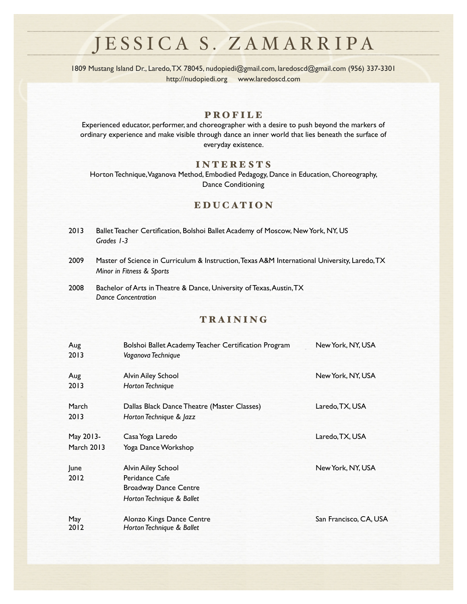1809 Mustang Island Dr., Laredo, TX 78045, [nudopiedi@gmail.com](mailto:nudopiedi@gmail.com), [laredoscd@gmail.com](mailto:laredoscd@gmail.com) (956) 337-3301 <http://nudopiedi.org> [www.laredoscd.com](http://www.laredoscd.com)

### PROFILE

Experienced educator, performer, and choreographer with a desire to push beyond the markers of ordinary experience and make visible through dance an inner world that lies beneath the surface of everyday existence.

#### INTERESTS

Horton Technique, Vaganova Method, Embodied Pedagogy, Dance in Education, Choreography, Dance Conditioning

### EDUCATION

- 2013 Ballet Teacher Certification, Bolshoi Ballet Academy of Moscow, New York, NY, US *Grades 1-3*
- 2009 Master of Science in Curriculum & Instruction, Texas A&M International University, Laredo, TX *Minor in Fitness & Sports*
- 2008 Bachelor of Arts in Theatre & Dance, University of Texas, Austin, TX *Dance Concentration*

### TRAINING

| Aug<br>2013                    | Bolshoi Ballet Academy Teacher Certification Program<br>Vaganova Technique                        | New York, NY, USA      |
|--------------------------------|---------------------------------------------------------------------------------------------------|------------------------|
| Aug<br>2013                    | <b>Alvin Ailey School</b><br><b>Horton Technique</b>                                              | New York, NY, USA      |
| March<br>2013                  | Dallas Black Dance Theatre (Master Classes)<br>Horton Technique & Jazz                            | Laredo, TX, USA        |
| May 2013-<br><b>March 2013</b> | Casa Yoga Laredo<br>Yoga Dance Workshop                                                           | Laredo, TX, USA        |
| lune<br>2012                   | Alvin Ailey School<br>Peridance Cafe<br><b>Broadway Dance Centre</b><br>Horton Technique & Ballet | New York, NY, USA      |
| May<br>2012                    | Alonzo Kings Dance Centre<br>Horton Technique & Ballet                                            | San Francisco, CA, USA |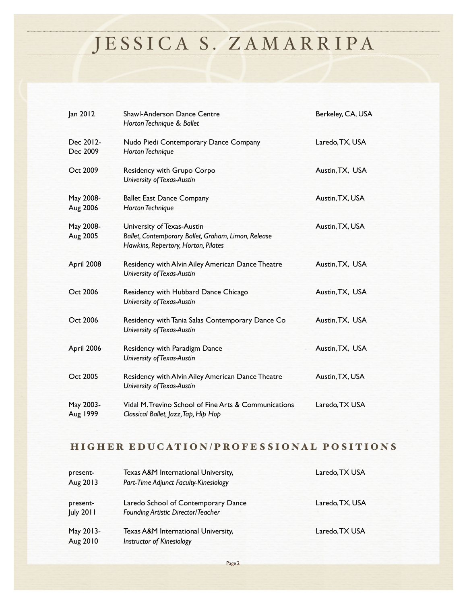| Jan 2012              | <b>Shawl-Anderson Dance Centre</b><br>Horton Technique & Ballet                                                          | Berkeley, CA, USA |
|-----------------------|--------------------------------------------------------------------------------------------------------------------------|-------------------|
| Dec 2012-<br>Dec 2009 | Nudo Piedi Contemporary Dance Company<br><b>Horton Technique</b>                                                         | Laredo, TX, USA   |
| Oct 2009              | Residency with Grupo Corpo<br>University of Texas-Austin                                                                 | Austin, TX, USA   |
| May 2008-<br>Aug 2006 | <b>Ballet East Dance Company</b><br><b>Horton Technique</b>                                                              | Austin, TX, USA   |
| May 2008-<br>Aug 2005 | University of Texas-Austin<br>Ballet, Contemporary Ballet, Graham, Limon, Release<br>Hawkins, Repertory, Horton, Pilates | Austin, TX, USA   |
| April 2008            | Residency with Alvin Ailey American Dance Theatre<br>University of Texas-Austin                                          | Austin, TX, USA   |
| Oct 2006              | Residency with Hubbard Dance Chicago<br>University of Texas-Austin                                                       | Austin, TX, USA   |
| Oct 2006              | Residency with Tania Salas Contemporary Dance Co<br>University of Texas-Austin                                           | Austin, TX, USA   |
| April 2006            | Residency with Paradigm Dance<br>University of Texas-Austin                                                              | Austin, TX, USA   |
| Oct 2005              | Residency with Alvin Ailey American Dance Theatre<br>University of Texas-Austin                                          | Austin, TX, USA   |
| May 2003-<br>Aug 1999 | Vidal M. Trevino School of Fine Arts & Communications<br>Classical Ballet, Jazz, Tap, Hip Hop                            | Laredo, TX USA    |

### HIGHER EDUCATION/PROFESSIONAL POSITIONS

| present-         | Texas A&M International University,       | Laredo, TX USA  |
|------------------|-------------------------------------------|-----------------|
| Aug 2013         | Part-Time Adjunct Faculty-Kinesiology     |                 |
|                  |                                           |                 |
| present-         | Laredo School of Contemporary Dance       | Laredo, TX, USA |
| <b>July 2011</b> | <b>Founding Artistic Director/Teacher</b> |                 |
|                  |                                           |                 |
| May 2013-        | Texas A&M International University,       | Laredo, TX USA  |
| Aug 2010         | <b>Instructor of Kinesiology</b>          |                 |

Page 2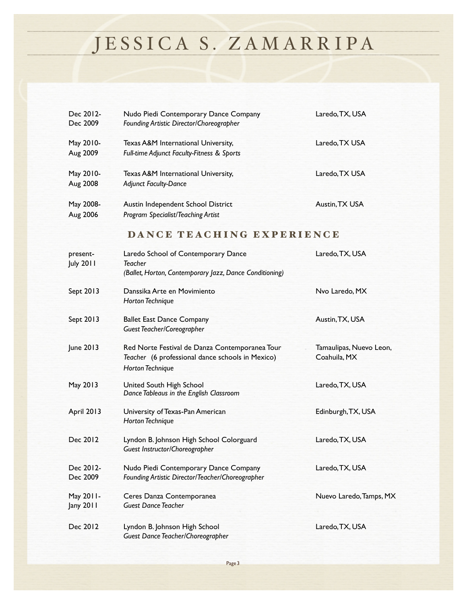| Dec 2012-<br>Dec 2009        | Nudo Piedi Contemporary Dance Company<br>Founding Artistic Director/Choreographer                                             | Laredo, TX, USA                         |
|------------------------------|-------------------------------------------------------------------------------------------------------------------------------|-----------------------------------------|
| May 2010-<br>Aug 2009        | Texas A&M International University,<br>Full-time Adjunct Faculty-Fitness & Sports                                             | Laredo, TX USA                          |
| May 2010-<br>Aug 2008        | Texas A&M International University,<br><b>Adjunct Faculty-Dance</b>                                                           | Laredo, TX USA                          |
| May 2008-<br>Aug 2006        | Austin Independent School District<br>Program Specialist/Teaching Artist                                                      | Austin, TX USA                          |
|                              | DANCE TEACHING EXPERIENCE                                                                                                     |                                         |
| present-<br><b>July 2011</b> | Laredo School of Contemporary Dance<br><b>Teacher</b><br>(Ballet, Horton, Contemporary Jazz, Dance Conditioning)              | Laredo, TX, USA                         |
| Sept 2013                    | Danssika Arte en Movimiento<br><b>Horton Technique</b>                                                                        | Nvo Laredo, MX                          |
| Sept 2013                    | <b>Ballet East Dance Company</b><br>Guest Teacher/Coreographer                                                                | Austin, TX, USA                         |
| June 2013                    | Red Norte Festival de Danza Contemporanea Tour<br>Teacher (6 professional dance schools in Mexico)<br><b>Horton Technique</b> | Tamaulipas, Nuevo Leon,<br>Coahuila, MX |
| May 2013                     | United South High School<br>Dance Tableaus in the English Classroom                                                           | Laredo, TX, USA                         |
| April 2013                   | University of Texas-Pan American<br><b>Horton Technique</b>                                                                   | Edinburgh, TX, USA                      |
| Dec 2012                     | Lyndon B. Johnson High School Colorguard<br>Guest Instructor/Choreographer                                                    | Laredo, TX, USA                         |
| Dec 2012-<br>Dec 2009        | Nudo Piedi Contemporary Dance Company<br>Founding Artistic Director/Teacher/Choreographer                                     | Laredo, TX, USA                         |
| May 2011-<br>Jany 2011       | Ceres Danza Contemporanea<br><b>Guest Dance Teacher</b>                                                                       | Nuevo Laredo, Tamps, MX                 |
| Dec 2012                     | Lyndon B. Johnson High School<br>Guest Dance Teacher/Choreographer                                                            | Laredo, TX, USA                         |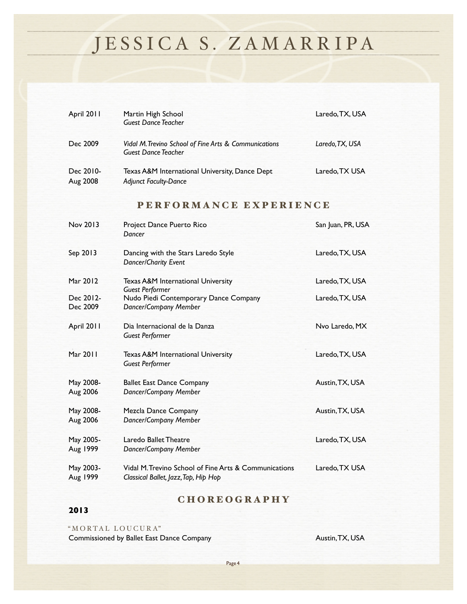| April 2011            | Martin High School<br><b>Guest Dance Teacher</b>                                              | Laredo, TX, USA   |
|-----------------------|-----------------------------------------------------------------------------------------------|-------------------|
| Dec 2009              | Vidal M. Trevino School of Fine Arts & Communications<br><b>Guest Dance Teacher</b>           | Laredo, TX, USA   |
| Dec 2010-<br>Aug 2008 | Texas A&M International University, Dance Dept<br><b>Adjunct Faculty-Dance</b>                | Laredo, TX USA    |
|                       | PERFORMANCE EXPERIENCE                                                                        |                   |
| Nov 2013              | Project Dance Puerto Rico<br>Dancer                                                           | San Juan, PR, USA |
| Sep 2013              | Dancing with the Stars Laredo Style<br>Dancer/Charity Event                                   | Laredo, TX, USA   |
| Mar 2012              | Texas A&M International University<br><b>Guest Performer</b>                                  | Laredo, TX, USA   |
| Dec 2012-<br>Dec 2009 | Nudo Piedi Contemporary Dance Company<br>Dancer/Company Member                                | Laredo, TX, USA   |
| April 2011            | Dia Internacional de la Danza<br><b>Guest Performer</b>                                       | Nvo Laredo. MX    |
| Mar 2011              | Texas A&M International University<br><b>Guest Performer</b>                                  | Laredo, TX, USA   |
| May 2008-<br>Aug 2006 | <b>Ballet East Dance Company</b><br>Dancer/Company Member                                     | Austin, TX, USA   |
| May 2008-<br>Aug 2006 | <b>Mezcla Dance Company</b><br>Dancer/Company Member                                          | Austin, TX, USA   |
| May 2005-<br>Aug 1999 | Laredo Ballet Theatre<br>Dancer/Company Member                                                | Laredo, TX, USA   |
| May 2003-<br>Aug 1999 | Vidal M. Trevino School of Fine Arts & Communications<br>Classical Ballet, Jazz, Tap, Hip Hop | Laredo, TX USA    |

### CHOREOGRAPHY

### **2013**

"MORTAL LOUCURA" Commissioned by Ballet East Dance Company **Austin, TX, USA**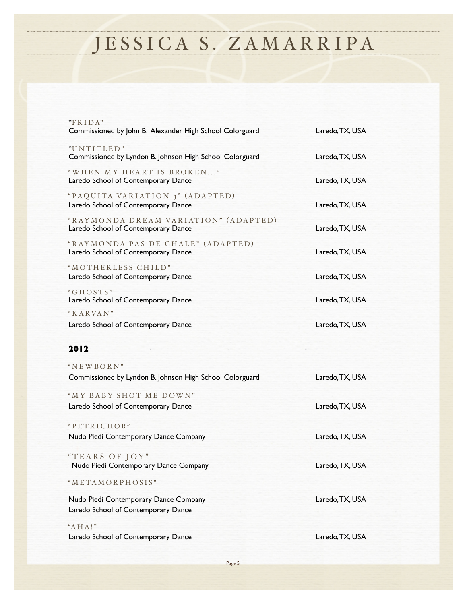| " $FRIDA"$                                                                                      |                 |
|-------------------------------------------------------------------------------------------------|-----------------|
| Commissioned by John B. Alexander High School Colorguard                                        | Laredo, TX, USA |
| "UNTITLED"<br>Commissioned by Lyndon B. Johnson High School Colorguard                          | Laredo, TX, USA |
| "WHEN MY HEART IS BROKEN"<br>Laredo School of Contemporary Dance                                | Laredo, TX, USA |
| "PAQUITA VARIATION 3" (ADAPTED)<br>Laredo School of Contemporary Dance                          | Laredo, TX, USA |
| "RAYMONDA DREAM VARIATION" (ADAPTED)<br>Laredo School of Contemporary Dance                     | Laredo, TX, USA |
| "RAYMONDA PAS DE CHALE" (ADAPTED)<br>Laredo School of Contemporary Dance                        | Laredo, TX, USA |
| "MOTHERLESS CHILD"<br>Laredo School of Contemporary Dance                                       | Laredo, TX, USA |
| "GHOSTS"<br>Laredo School of Contemporary Dance                                                 | Laredo, TX, USA |
| "KARVAN"<br>Laredo School of Contemporary Dance                                                 | Laredo, TX, USA |
|                                                                                                 |                 |
| 2012                                                                                            |                 |
|                                                                                                 |                 |
| "NEWBORN"<br>Commissioned by Lyndon B. Johnson High School Colorguard                           | Laredo, TX, USA |
| "MY BABY SHOT ME DOWN"<br>Laredo School of Contemporary Dance                                   | Laredo, TX, USA |
| "PETRICHOR"<br>Nudo Piedi Contemporary Dance Company                                            | Laredo, TX, USA |
| "TEARS OF JOY"<br>Nudo Piedi Contemporary Dance Company                                         | Laredo, TX, USA |
|                                                                                                 |                 |
| "METAMORPHOSIS"<br>Nudo Piedi Contemporary Dance Company<br>Laredo School of Contemporary Dance | Laredo, TX, USA |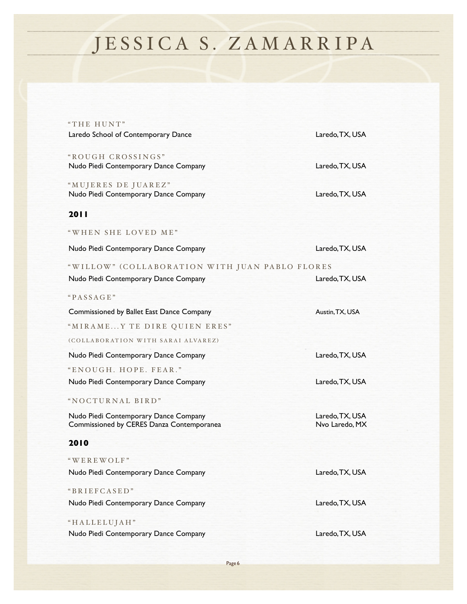| "THE HUNT"<br>Laredo School of Contemporary Dance                                  | Laredo, TX, USA                   |
|------------------------------------------------------------------------------------|-----------------------------------|
| "ROUGH CROSSINGS"<br>Nudo Piedi Contemporary Dance Company                         | Laredo, TX, USA                   |
| "MUJERES DE JUAREZ"<br>Nudo Piedi Contemporary Dance Company                       | Laredo, TX, USA                   |
| 2011                                                                               |                                   |
| "WHEN SHE LOVED ME"                                                                |                                   |
| Nudo Piedi Contemporary Dance Company                                              | Laredo, TX, USA                   |
| "WILLOW" (COLLABORATION WITH JUAN PABLO FLORES                                     |                                   |
| Nudo Piedi Contemporary Dance Company                                              | Laredo, TX, USA                   |
| "PASSAGE"                                                                          |                                   |
| Commissioned by Ballet East Dance Company                                          | Austin, TX, USA                   |
| "MIRAMEY TE DIRE QUIEN ERES"                                                       |                                   |
| (COLLABORATION WITH SARAI ALVAREZ)                                                 |                                   |
| Nudo Piedi Contemporary Dance Company                                              | Laredo, TX, USA                   |
| "ENOUGH. HOPE. FEAR."                                                              |                                   |
| Nudo Piedi Contemporary Dance Company                                              | Laredo, TX, USA                   |
| "NOCTURNAL BIRD"                                                                   |                                   |
| Nudo Piedi Contemporary Dance Company<br>Commissioned by CERES Danza Contemporanea | Laredo, TX, USA<br>Nvo Laredo, MX |
| 2010                                                                               |                                   |
| "WEREWOLF"                                                                         |                                   |
| Nudo Piedi Contemporary Dance Company                                              | Laredo, TX, USA                   |
| "BRIEFCASED"                                                                       |                                   |
| Nudo Piedi Contemporary Dance Company                                              | Laredo, TX, USA                   |
| "HALLELUJAH"                                                                       |                                   |
| Nudo Piedi Contemporary Dance Company                                              | Laredo, TX, USA                   |

Page 6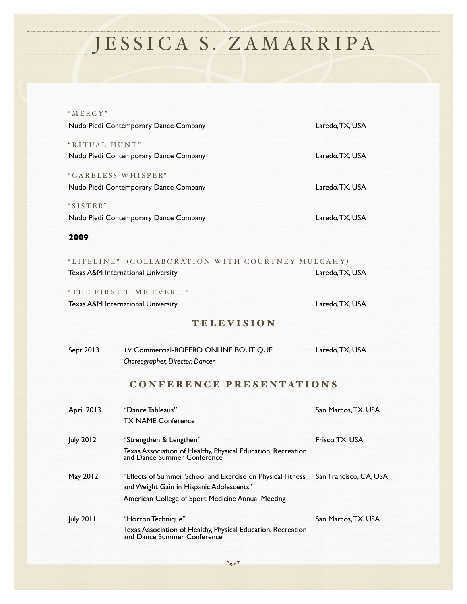| "MERCY"                                                     |                                                                                        |                     |
|-------------------------------------------------------------|----------------------------------------------------------------------------------------|---------------------|
| Nudo Piedi Contemporary Dance Company                       |                                                                                        | Laredo, TX, USA     |
| "RITUAL HUNT"<br>Nudo Piedi Contemporary Dance Company      |                                                                                        | Laredo, TX, USA     |
| "CARELESS WHISPER"<br>Nudo Piedi Contemporary Dance Company |                                                                                        | Laredo, TX, USA     |
| "SISTER"                                                    | Nudo Piedi Contemporary Dance Company                                                  | Laredo, TX, USA     |
| 2009                                                        |                                                                                        |                     |
|                                                             | "LIFELINE" (COLLABORATION WITH COURTNEY MULCAHY)<br>Texas A&M International University | Laredo, TX, USA     |
| "THE FIRST TIME EVER"<br>Texas A&M International University |                                                                                        | Laredo, TX, USA     |
|                                                             | <b>TELEVISION</b>                                                                      |                     |
| Sept 2013                                                   | TV Commercial-ROPERO ONLINE BOUTIQUE<br>Choreographer, Director, Dancer                | Laredo, TX, USA     |
|                                                             | <b>CONFERENCE PRESENTATIONS</b>                                                        |                     |
| April 2013                                                  | "Dance Tableaus"<br><b>TX NAME Conference</b>                                          | San Marcos, TX, USA |

**Texas Association of Healthy, Physical Education, Recreation and Dance Summer Conference** May 2012 "Effects of Summer School and Exercise on Physical Fitness San Francisco, CA, USA and Weight Gain in Hispanic Adolescents" American College of Sport Medicine Annual Meeting July 2011 "Horton Technique"! ! ! ! ! San Marcos, TX, USA Texas Association of Healthy, Physical Education, Recreation and Dance Summer Conference

July 2012 "Strengthen & Lengthen"! ! ! ! ! Frisco, TX, USA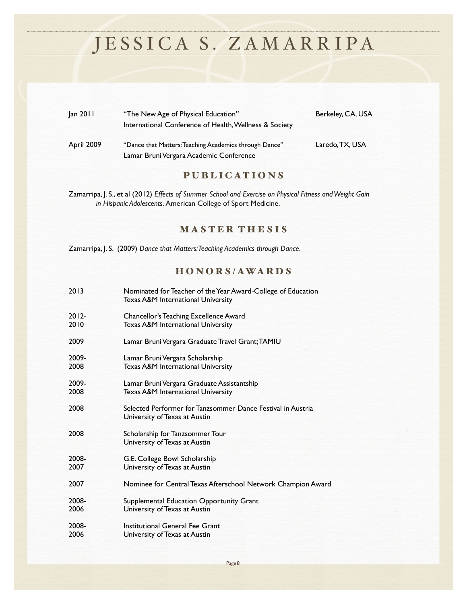| Jan 2011   | "The New Age of Physical Education"                    | Berkeley, CA, USA |
|------------|--------------------------------------------------------|-------------------|
|            | International Conference of Health, Wellness & Society |                   |
| April 2009 | "Dance that Matters: Teaching Academics through Dance" | Laredo, TX, USA   |
|            | Lamar Bruni Vergara Academic Conference                |                   |

### PUBLICATIONS

Zamarripa, J. S., et al (2012) *Effects of Summer School and Exercise on Physical Fitness and Weight Gain in Hispanic Adolescents.* American College of Sport Medicine.

### MASTER THESIS

Zamarripa, J. S. (2009) *Dance that Matters: Teaching Academics through Dance*.

### H O N O R S / AWA R D S

| $2012 -$<br>Chancellor's Teaching Excellence Award<br>2010<br>Texas A&M International University<br>2009<br>Lamar Bruni Vergara Graduate Travel Grant; TAMIU<br>2009-<br>Lamar Bruni Vergara Scholarship<br>2008<br>Texas A&M International University<br>2009-<br>Lamar Bruni Vergara Graduate Assistantship<br>2008<br>Texas A&M International University<br>2008<br>Selected Performer for Tanzsommer Dance Festival in Austria<br>University of Texas at Austin<br>2008<br>Scholarship for Tanzsommer Tour<br>University of Texas at Austin<br>2008-<br>G.E. College Bowl Scholarship<br>2007<br>University of Texas at Austin<br>2007<br>Nominee for Central Texas Afterschool Network Champion Award<br>2008-<br>Supplemental Education Opportunity Grant<br>2006<br>University of Texas at Austin<br>Institutional General Fee Grant<br>2008-<br>2006<br>University of Texas at Austin | 2013 | Nominated for Teacher of the Year Award-College of Education<br>Texas A&M International University |
|-----------------------------------------------------------------------------------------------------------------------------------------------------------------------------------------------------------------------------------------------------------------------------------------------------------------------------------------------------------------------------------------------------------------------------------------------------------------------------------------------------------------------------------------------------------------------------------------------------------------------------------------------------------------------------------------------------------------------------------------------------------------------------------------------------------------------------------------------------------------------------------------------|------|----------------------------------------------------------------------------------------------------|
|                                                                                                                                                                                                                                                                                                                                                                                                                                                                                                                                                                                                                                                                                                                                                                                                                                                                                               |      |                                                                                                    |
|                                                                                                                                                                                                                                                                                                                                                                                                                                                                                                                                                                                                                                                                                                                                                                                                                                                                                               |      |                                                                                                    |
|                                                                                                                                                                                                                                                                                                                                                                                                                                                                                                                                                                                                                                                                                                                                                                                                                                                                                               |      |                                                                                                    |
|                                                                                                                                                                                                                                                                                                                                                                                                                                                                                                                                                                                                                                                                                                                                                                                                                                                                                               |      |                                                                                                    |
|                                                                                                                                                                                                                                                                                                                                                                                                                                                                                                                                                                                                                                                                                                                                                                                                                                                                                               |      |                                                                                                    |
|                                                                                                                                                                                                                                                                                                                                                                                                                                                                                                                                                                                                                                                                                                                                                                                                                                                                                               |      |                                                                                                    |
|                                                                                                                                                                                                                                                                                                                                                                                                                                                                                                                                                                                                                                                                                                                                                                                                                                                                                               |      |                                                                                                    |
|                                                                                                                                                                                                                                                                                                                                                                                                                                                                                                                                                                                                                                                                                                                                                                                                                                                                                               |      |                                                                                                    |
|                                                                                                                                                                                                                                                                                                                                                                                                                                                                                                                                                                                                                                                                                                                                                                                                                                                                                               |      |                                                                                                    |
|                                                                                                                                                                                                                                                                                                                                                                                                                                                                                                                                                                                                                                                                                                                                                                                                                                                                                               |      |                                                                                                    |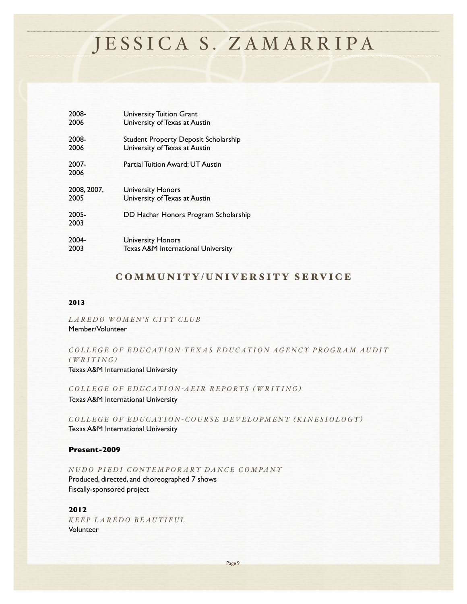| 2008-         | <b>University Tuition Grant</b>             |
|---------------|---------------------------------------------|
| 2006          | University of Texas at Austin               |
| 2008-         | <b>Student Property Deposit Scholarship</b> |
| 2006          | University of Texas at Austin               |
| 2007-<br>2006 | Partial Tuition Award; UT Austin            |
| 2008, 2007.   | <b>University Honors</b>                    |
| 2005          | University of Texas at Austin               |
| 2005-<br>2003 | DD Hachar Honors Program Scholarship        |
| 2004-         | <b>University Honors</b>                    |
| 2003          | Texas A&M International University          |

### COMMUNITY/UNIVERSITY SERVICE

#### **2013***!! ! ! ! ! ! !*

*LAREDO WOMEN'S CITY CLUB* Member/Volunteer

### *COLLEGE OF EDUCATION -TEXAS EDUCATION AGENCY PROGRAM AUDIT*   $(WRITING)$

Texas A&M International University

*COLLEGE OF EDUCATION -AEIR REPORTS ( WRITING )*

Texas A&M International University

*COLLEGE OF EDUCATION - COURSE DEVELOPMENT ( KINESIOLOGY )* Texas A&M International University

### **Present-2009**

*NUDO PIEDI CONTEMPORARY DANCE COMPANY* 

Produced, directed, and choreographed 7 shows Fiscally-sponsored project

#### **2012**

*KEEP LAREDO BEAUTIFUL* Volunteer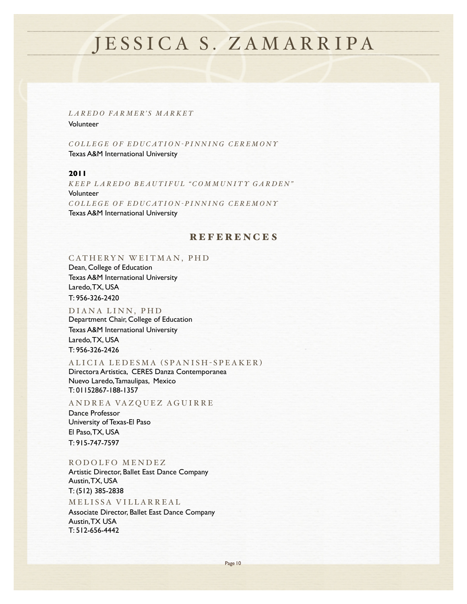*LAREDO FARMER'S MARKET* Volunteer

*COLLEGE OF EDUCATION - PINNING CEREMONY* Texas A&M International University

### **2011**

*KEEP LAREDO BEAUTIFUL "COMMUNITY GARDEN"* Volunteer *COLLEGE OF EDUCATION - PINNING CEREMONY* Texas A&M International University

### **REFERENCES**

#### CATHERYN WEITMAN, PHD

Dean, College of Education Texas A&M International University Laredo, TX, USA T: 956-326-2420

DIANA LINN, PHD Department Chair, College of Education Texas A&M International University Laredo, TX, USA T: 956-326-2426

#### ALICIA LEDESMA ( SPANISH - SPEAKER )

Directora Artistica, CERES Danza Contemporanea Nuevo Laredo, Tamaulipas, Mexico T: 01152867-188-1357

ANDREA VAZQUEZ AGUIRRE

Dance Professor University of Texas-El Paso El Paso, TX, USA T: 915-747-7597

#### RODOLFO MENDEZ

Artistic Director, Ballet East Dance Company Austin, TX, USA T: (512) 385-2838

MELISSA VILLARREAL Associate Director, Ballet East Dance Company Austin, TX USA T: 512-656-4442